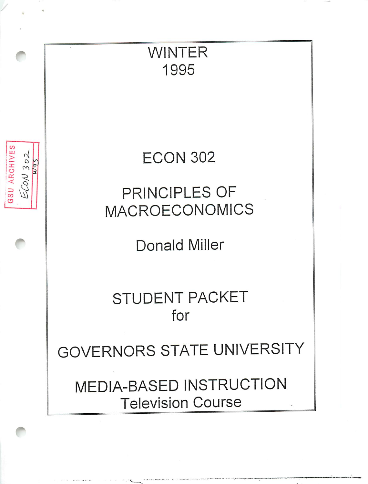

 $\label{eq:12} \mathcal{L}(\mathbf{w}) = \mathcal{L}(\mathbf{w}) + \mathcal{L}(\mathbf{w}) = \mathcal{L}(\mathbf{w})$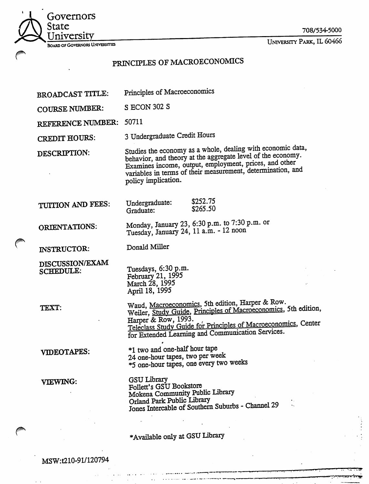

708/534-5000

## *PRINCIPLES OF MACROECONOMICS*

*BROADCAST TITLE: Principles of Macroeconomics*

*COURSE NUMBER: S ECON 302 S*

*REFERENCE NUMBER: 50711*

*CREDIT HOURS: 3Undergraduate Credit Hours*

*DESCRIPTION:* Studies the economy as a whole, dealing with economic data, behavior, and theory at the aggregate level of the economy.<br>Examines income, output, employment, prices, and other *variables in terms of their measurement, determination, ana policy implication.*

*TUITION AND FEES: Undergraduate: Graduate: \$252.75 \$265.50*

*Donald Miller*

*Tuesdays, 6:30 p.m. February 21, 1995 March 28, 1995 April 18, 1995*

*#*

*ORIENTATIONS: Monday, January 23, 6:30 p.m. to 7:30 p.m. or Tuesday, January 24, 11 a.m. - 12 noon*

*INSTRUCTOR:*

*DISCUSSION/EXAM SCHEDULE:*

*TEXT:*

*Waud,* <u>*Macroeconomics</u>, 5th edition, Harper & Row.*<br> *Weiler, <u>Study Guide</u>, <u>Principles of Macroeconomics</u>, 5th edition,<br>
Harper & Row, 1993.</u> <u>Teleclass Study Guide for Principles of Macroeconomics, Center*</u> *for Extended Learning and Communication Services.*

*VIDEOTAPES:*

*\*1 two and one-half hour tape 24one-hour tapes, two per week \*5 one-hour tapes, one every two weeks*

*VIEWING:*

*GSU Library Follett's GSU Bookstore Mokena Community Public library Orland Park Public Library Jones Intercable of Southern Suburbs - Channel zy*

*^Available only at GSU Library*

*MSW:t210-91/120794*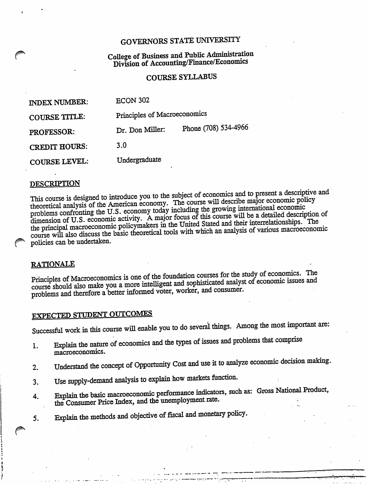# *GOVERNORS STATE UNIVERSITY*

## *College ofBusiness and Public Administration Division of Accounting/Finance/Economics*

#### *COURSE SYLLABUS*

| <b>INDEX NUMBER:</b> | ECON 302                     |                      |
|----------------------|------------------------------|----------------------|
| <b>COURSE TITLE:</b> | Principles of Macroeconomics |                      |
| <b>PROFESSOR:</b>    | Dr. Don Miller:              | Phone (708) 534-4966 |
| <b>CREDIT HOURS:</b> | 3.0                          |                      |
| <b>COURSE LEVEL:</b> | Undergraduate                |                      |

**DESCRIPTION**<br>This course is designed to introduce you to the subject of economics and to present a descriptive and This course is designed to introduce you to the subject of economics and to present a descriptive<br>theoretical analysis of the American economy. The course will describe major economic policy<br>theoretical analysis of the Ame theoretical analysis of the American economy. The course will describe major economic policy<br>problems confronting the U.S. economy today including the growing international economic<br>dimension of U.S. economic activity. A m dimension of U.S. economic activity. A major focus of this course will be a detailed description<br>the principal macroeconomic policymakers in the United Stated and their interrelationships. The<br>the principal macroeconomic p **policies** can be undertaken.<br> **policies** can be undertaken.

**RATIONALE**<br>Principles of Macroeconomics is one of the foundation courses for the study of economics. The *problems and therefore abetterinformed voter, worker, and consumer.*

# *EXPECTED STUDENT OUTCOMES*

*Successful work in this course will enable you to do several things. Among the most important are:*

- *1. Explain the nature of economics and the types ofissues and problems that comprise macroeconomics.*
- *2. Understand the concept of Opportunity Cost and use it to analyze economic decision making.*
- *3. Use supply-demand analysis to explain how markets function.*
- *4 Explain the basic macroeconomic performance indicators, such as: Gross National Product, the* Consumer Price Index, and the unemployment rate.
- *5. Explain the methods and objective of fiscal and monetary policy.*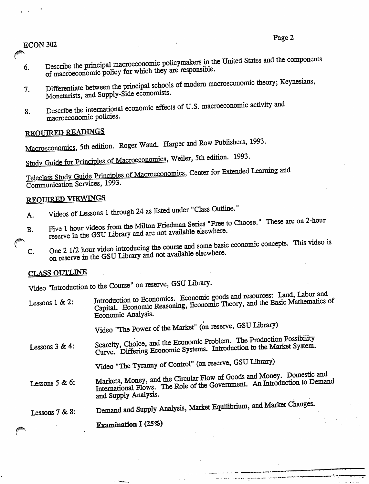#### **ECON 302**

- Describe the principal macroeconomic policymakers in the United States and the components 6. of macroeconomic policy for which they are responsible.
- Differentiate between the principal schools of modern macroeconomic theory; Keynesians, 7. Monetarists, and Supply-Side economists.
- Describe the international economic effects of U.S. macroeconomic activity and 8. macroeconomic policies.

## **REQUIRED READINGS**

Macroeconomics, 5th edition. Roger Waud. Harper and Row Publishers, 1993.

Study Guide for Principles of Macroeconomics, Weiler, 5th edition. 1993.

Teleclass Study Guide Principles of Macroeconomics, Center for Extended Learning and Communication Services, 1993.

## REQUIRED VIEWINGS

- Videos of Lessons 1 through 24 as listed under "Class Outline." A.
- Five 1 hour videos from the Milton Friedman Series "Free to Choose." These are on 2-hour  $\mathbf{B}$ reserve in the GSU Library and are not available elsewhere.
- One 2 1/2 hour video introducing the course and some basic economic concepts. This video is on reserve in the GSU Library and not available elsewhere. C.

## **CLASS OUTLINE**

Video "Introduction to the Course" on reserve, GSU Library.

Introduction to Economics. Economic goods and resources: Land, Labor and Capital. Economic Reasoning, Economic Theory, and the Basic Mathematics of Lessons  $1 & 2$ : Economic Analysis.

Video "The Power of the Market" (on reserve, GSU Library)

Scarcity, Choice, and the Economic Problem. The Production Possibility Curve. Differing Economic Systems. Introduction to the Market System. Lessons  $3 & 4$ :

Video "The Tyranny of Control" (on reserve, GSU Library)

- Markets, Money, and the Circular Flow of Goods and Money. Domestic and International Flows. The Role of the Government. An Introduction to Demand Lessons  $5 & 6$ : and Supply Analysis.
- Demand and Supply Analysis, Market Equilibrium, and Market Changes. Lessons  $7 & 8$ :

**Examination I (25%)**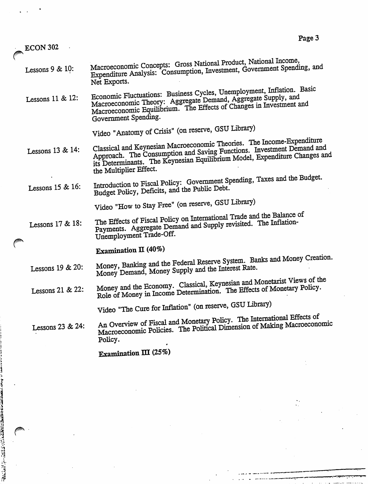|   | $ECON$ 302 |  |
|---|------------|--|
| ∕ |            |  |

| Lessons $9 & 10$ : | Macroeconomic Concepts: Gross National Product, National Income,<br>Expenditure Analysis: Consumption, Investment, Government Spending, and |
|--------------------|---------------------------------------------------------------------------------------------------------------------------------------------|
|                    | Net Frnorts.                                                                                                                                |

*Lessons 11 & 12:* Net Exports.<br>
Economic Fluctuations: Business Cycles, Unemployment, Inflation. Basic Macroeconomic Theory: Aggregate Demand, Aggregate Supply, and<br>Macroeconomic Equilibrium. The Effects of Changes in Investment and *Government Spending.*

*Video "Anatomy of Crisis" (on reserve, GSU Library)*

- *Lessons 13 & 14: Classical and Keynesian Macroeconomic Theories. The Income-Expenditure Approach. The Consumption and Saving Functions. Investment Demand and its Determinants. The Keynesian Equilibrium Model, Expenditure Changes and the Multiplier Effect.*
- *Lessons 15 & 16: introduction to Fiscal Policy: Government.Spending, Taxes and the Budget. Budget Policy, Deficits, and the Public Debt.*

*Video "How to Stay Free" (on reserve, GSU Library)*

The Effects of Fiscal Policy on International Trade and the Balance of<br>The Effects of Fiscal Policy on International Trade and Supply revisited. The Inflation-Payments. Aggregate Demand and Supply revisited. The Inflation-Unemployment Trade-Off. *Lessons 17 & 18:*

*Examination II (40%) Lessons 19 & 20:* Money, Banking and the Federal Reserve System.<br>Money Demand, Money Supply and the Interest Rate.

Money and the Economy. Classical, Keynesian and Monetarist Views of the<br>Money and the Economy. Classical, Keynesian and Monetary Policy. Money and the Economy. Classical, Keynesian and Monetarist Views of Licensie Role of Money in Income Determination. The Effects of Monetary Policy. *Lessons 21 & 22:*

*Video "The Cure for Inflation" (on reserve, GSU Library)*

An Overview of Fiscal and Monetary Policy. The International Effects of<br>An Overview of Fiscal and Monetary Policy. The International Making Macroecono Macroeconomic Policies. The Political Dimension of Making Macroeconomic<br>Policy. *Lessons 23 & 24:*

*\**

*Examination HI (25%)*